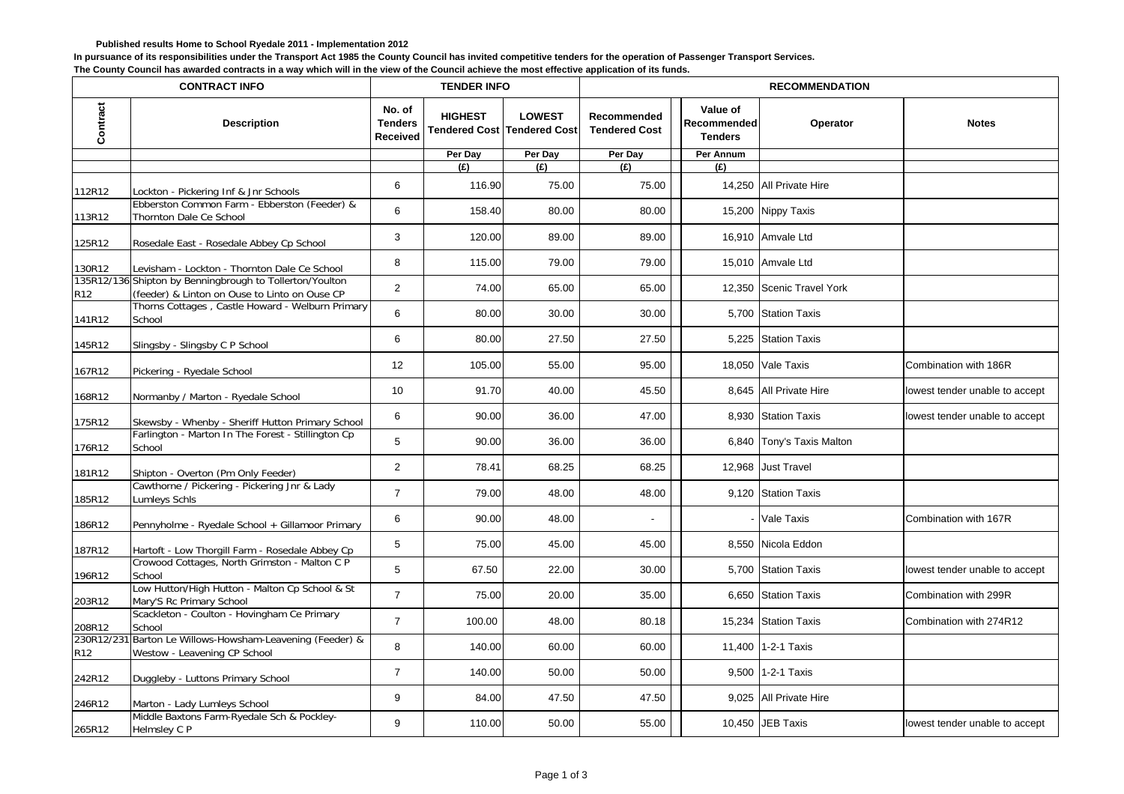## **Published results Home to School Ryedale 2011 - Implementation 2012**

**In pursuance of its responsibilities under the Transport Act 1985 the County Council has invited competitive tenders for the operation of Passenger Transport Services.**

**The County Council has awarded contracts in a way which will in the view of the Council achieve the most effective application of its funds.**

| <b>CONTRACT INFO</b> |                                                                                                           | <b>TENDER INFO</b>                          |                |                                                     | <b>RECOMMENDATION</b>               |                                           |                           |                                |  |
|----------------------|-----------------------------------------------------------------------------------------------------------|---------------------------------------------|----------------|-----------------------------------------------------|-------------------------------------|-------------------------------------------|---------------------------|--------------------------------|--|
| Contract             | <b>Description</b>                                                                                        | No. of<br><b>Tenders</b><br><b>Received</b> | <b>HIGHEST</b> | <b>LOWEST</b><br><b>Tendered Cost Tendered Cost</b> | Recommended<br><b>Tendered Cost</b> | Value of<br>Recommended<br><b>Tenders</b> | Operator                  | <b>Notes</b>                   |  |
|                      |                                                                                                           |                                             | Per Day        | Per Day                                             | Per Day                             | Per Annum                                 |                           |                                |  |
|                      |                                                                                                           |                                             | (E)            | (E)                                                 | (E)                                 | (E)                                       |                           |                                |  |
| 112R12               | Lockton - Pickering Inf & Jnr Schools                                                                     | 6                                           | 116.90         | 75.00                                               | 75.00                               |                                           | 14,250 All Private Hire   |                                |  |
| 113R12               | Ebberston Common Farm - Ebberston (Feeder) &<br>Thornton Dale Ce School                                   | 6                                           | 158.40         | 80.00                                               | 80.00                               |                                           | 15,200 Nippy Taxis        |                                |  |
| 125R12               | Rosedale East - Rosedale Abbey Cp School                                                                  | 3                                           | 120.00         | 89.00                                               | 89.00                               |                                           | 16,910 Amvale Ltd         |                                |  |
| 130R12               | Levisham - Lockton - Thornton Dale Ce School                                                              | 8                                           | 115.00         | 79.00                                               | 79.00                               |                                           | 15,010 Amvale Ltd         |                                |  |
| R12                  | 135R12/136 Shipton by Benningbrough to Tollerton/Youlton<br>(feeder) & Linton on Ouse to Linto on Ouse CP | 2                                           | 74.00          | 65.00                                               | 65.00                               |                                           | 12,350 Scenic Travel York |                                |  |
| 141R12               | Thorns Cottages, Castle Howard - Welburn Primary<br>School                                                | 6                                           | 80.00          | 30.00                                               | 30.00                               |                                           | 5,700 Station Taxis       |                                |  |
| 145R12               | Slingsby - Slingsby C P School                                                                            | 6                                           | 80.00          | 27.50                                               | 27.50                               |                                           | 5,225 Station Taxis       |                                |  |
| 167R12               | Pickering - Ryedale School                                                                                | 12                                          | 105.00         | 55.00                                               | 95.00                               |                                           | 18,050 Vale Taxis         | Combination with 186R          |  |
| 168R12               | Normanby / Marton - Ryedale School                                                                        | 10                                          | 91.70          | 40.00                                               | 45.50                               |                                           | 8,645 All Private Hire    | lowest tender unable to accept |  |
| 175R12               | Skewsby - Whenby - Sheriff Hutton Primary School                                                          | 6                                           | 90.00          | 36.00                                               | 47.00                               |                                           | 8,930 Station Taxis       | lowest tender unable to accept |  |
| 176R12               | Farlington - Marton In The Forest - Stillington Cp<br>School                                              | 5                                           | 90.00          | 36.00                                               | 36.00                               |                                           | 6,840 Tony's Taxis Malton |                                |  |
| 181R12               | Shipton - Overton (Pm Only Feeder)                                                                        | $\overline{2}$                              | 78.41          | 68.25                                               | 68.25                               |                                           | 12,968 Just Travel        |                                |  |
| 185R12               | Cawthorne / Pickering - Pickering Jnr & Lady<br>Lumleys Schls                                             | $\overline{7}$                              | 79.00          | 48.00                                               | 48.00                               |                                           | 9,120 Station Taxis       |                                |  |
| 186R12               | Pennyholme - Ryedale School + Gillamoor Primary                                                           | 6                                           | 90.00          | 48.00                                               |                                     |                                           | - Vale Taxis              | Combination with 167R          |  |
| 187R12               | Hartoft - Low Thorgill Farm - Rosedale Abbey Cp                                                           | 5                                           | 75.00          | 45.00                                               | 45.00                               |                                           | 8,550 Nicola Eddon        |                                |  |
| 196R12               | Crowood Cottages, North Grimston - Malton C P<br>School                                                   | 5                                           | 67.50          | 22.00                                               | 30.00                               |                                           | 5,700 Station Taxis       | lowest tender unable to accept |  |
| 203R12               | Low Hutton/High Hutton - Malton Cp School & St<br>Mary'S Rc Primary School                                | $\overline{7}$                              | 75.00          | 20.00                                               | 35.00                               |                                           | 6,650 Station Taxis       | Combination with 299R          |  |
| 208R12               | Scackleton - Coulton - Hovingham Ce Primary<br>School                                                     | $\overline{7}$                              | 100.00         | 48.00                                               | 80.18                               | 15,234                                    | <b>Station Taxis</b>      | Combination with 274R12        |  |
| 230R12/231<br>R12    | Barton Le Willows-Howsham-Leavening (Feeder) &<br>Westow - Leavening CP School                            | 8                                           | 140.00         | 60.00                                               | 60.00                               |                                           | 11,400 1-2-1 Taxis        |                                |  |
| 242R12               | Duggleby - Luttons Primary School                                                                         | $\overline{7}$                              | 140.00         | 50.00                                               | 50.00                               |                                           | 9,500 1-2-1 Taxis         |                                |  |
| 246R12               | Marton - Lady Lumleys School                                                                              | 9                                           | 84.00          | 47.50                                               | 47.50                               |                                           | 9,025 All Private Hire    |                                |  |
| 265R12               | Middle Baxtons Farm-Ryedale Sch & Pockley-<br>Helmsley C P                                                | 9                                           | 110.00         | 50.00                                               | 55.00                               |                                           | 10,450 JEB Taxis          | lowest tender unable to accept |  |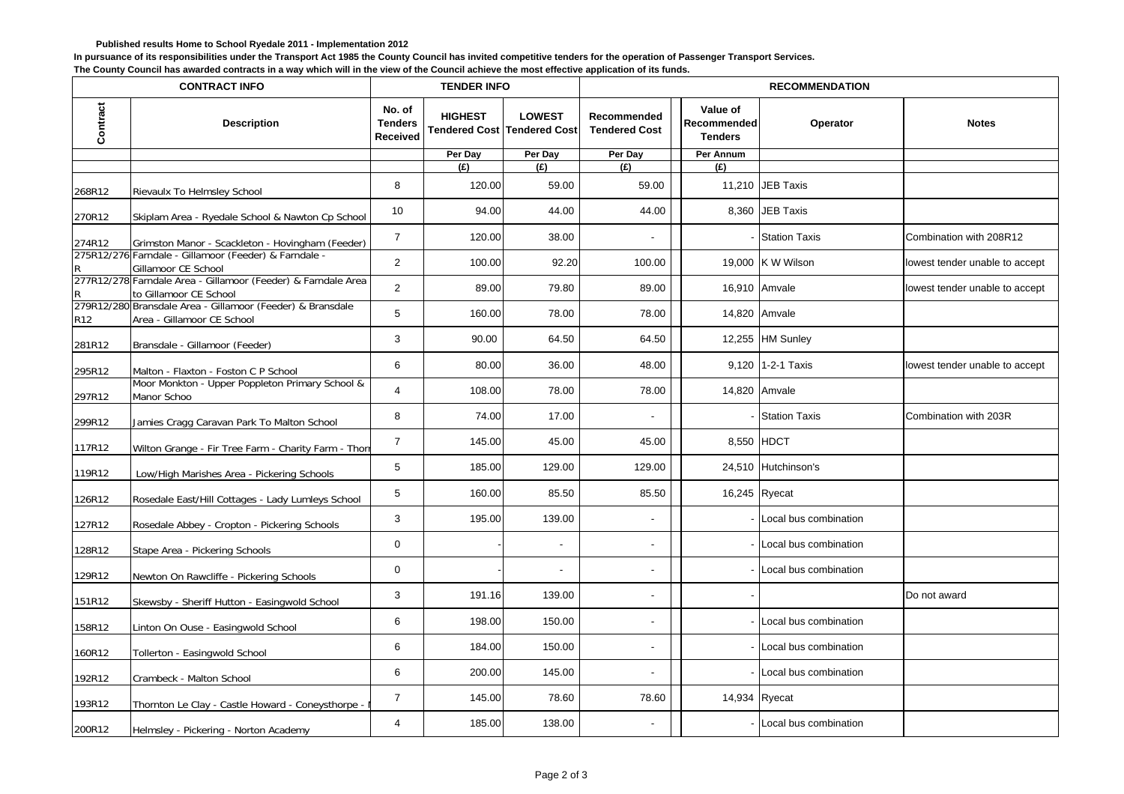## **Published results Home to School Ryedale 2011 - Implementation 2012**

**In pursuance of its responsibilities under the Transport Act 1985 the County Council has invited competitive tenders for the operation of Passenger Transport Services.**

**The County Council has awarded contracts in a way which will in the view of the Council achieve the most effective application of its funds.**

| <b>CONTRACT INFO</b> |                                                                                          | <b>TENDER INFO</b>                          |                                                      |               | <b>RECOMMENDATION</b>               |                                           |                         |                                |  |
|----------------------|------------------------------------------------------------------------------------------|---------------------------------------------|------------------------------------------------------|---------------|-------------------------------------|-------------------------------------------|-------------------------|--------------------------------|--|
| Contract             | <b>Description</b>                                                                       | No. of<br><b>Tenders</b><br><b>Received</b> | <b>HIGHEST</b><br><b>Tendered Cost Tendered Cost</b> | <b>LOWEST</b> | Recommended<br><b>Tendered Cost</b> | Value of<br>Recommended<br><b>Tenders</b> | Operator                | <b>Notes</b>                   |  |
|                      |                                                                                          |                                             | Per Day                                              | Per Day       | Per Day                             | Per Annum                                 |                         |                                |  |
|                      |                                                                                          |                                             | (E)                                                  | (E)           | (E)                                 | (E)                                       |                         |                                |  |
| 268R12               | Rievaulx To Helmsley School                                                              | 8                                           | 120.00                                               | 59.00         | 59.00                               |                                           | 11,210 JEB Taxis        |                                |  |
| 270R12               | Skiplam Area - Ryedale School & Nawton Cp School                                         | 10                                          | 94.00                                                | 44.00         | 44.00                               |                                           | 8,360 JEB Taxis         |                                |  |
| 274R12               | Grimston Manor - Scackleton - Hovingham (Feeder)                                         | $\overline{7}$                              | 120.00                                               | 38.00         |                                     |                                           | - Station Taxis         | Combination with 208R12        |  |
|                      | 275R12/276 Farndale - Gillamoor (Feeder) & Farndale -<br>Gillamoor CE School             | $\overline{2}$                              | 100.00                                               | 92.20         | 100.00                              |                                           | 19,000 K W Wilson       | lowest tender unable to accept |  |
| R                    | 277R12/278 Farndale Area - Gillamoor (Feeder) & Farndale Area<br>to Gillamoor CE School  | 2                                           | 89.00                                                | 79.80         | 89.00                               |                                           | 16,910 Amvale           | lowest tender unable to accept |  |
| R <sub>12</sub>      | 279R12/280 Bransdale Area - Gillamoor (Feeder) & Bransdale<br>Area - Gillamoor CE School | 5                                           | 160.00                                               | 78.00         | 78.00                               |                                           | 14,820 Amvale           |                                |  |
| 281R12               | Bransdale - Gillamoor (Feeder)                                                           | 3                                           | 90.00                                                | 64.50         | 64.50                               |                                           | 12,255 HM Sunley        |                                |  |
| 295R12               | Malton - Flaxton - Foston C P School                                                     | 6                                           | 80.00                                                | 36.00         | 48.00                               |                                           | 9,120 1-2-1 Taxis       | lowest tender unable to accept |  |
| 297R12               | Moor Monkton - Upper Poppleton Primary School &<br>Manor Schoo                           | $\overline{4}$                              | 108.00                                               | 78.00         | 78.00                               |                                           | 14,820 Amvale           |                                |  |
| 299R12               | Jamies Cragg Caravan Park To Malton School                                               | 8                                           | 74.00                                                | 17.00         | ÷,                                  |                                           | - Station Taxis         | Combination with 203R          |  |
| 117R12               | Wilton Grange - Fir Tree Farm - Charity Farm - Thorr                                     | $\overline{7}$                              | 145.00                                               | 45.00         | 45.00                               |                                           | 8,550 HDCT              |                                |  |
| 119R12               | Low/High Marishes Area - Pickering Schools                                               | 5                                           | 185.00                                               | 129.00        | 129.00                              |                                           | 24,510 Hutchinson's     |                                |  |
| 126R12               | Rosedale East/Hill Cottages - Lady Lumleys School                                        | 5                                           | 160.00                                               | 85.50         | 85.50                               | 16,245 Ryecat                             |                         |                                |  |
| 127R12               | Rosedale Abbey - Cropton - Pickering Schools                                             | 3                                           | 195.00                                               | 139.00        |                                     |                                           | - Local bus combination |                                |  |
| 128R12               | Stape Area - Pickering Schools                                                           | $\mathbf 0$                                 |                                                      |               |                                     |                                           | - Local bus combination |                                |  |
| 129R12               | Newton On Rawcliffe - Pickering Schools                                                  | $\boldsymbol{0}$                            |                                                      |               |                                     |                                           | - Local bus combination |                                |  |
| 151R12               | Skewsby - Sheriff Hutton - Easingwold School                                             | 3                                           | 191.16                                               | 139.00        | $\blacksquare$                      |                                           |                         | Do not award                   |  |
| 158R12               | Linton On Ouse - Easingwold School                                                       | 6                                           | 198.00                                               | 150.00        | $\blacksquare$                      |                                           | - Local bus combination |                                |  |
| 160R12               | Tollerton - Easingwold School                                                            | 6                                           | 184.00                                               | 150.00        | $\overline{\phantom{a}}$            |                                           | - Local bus combination |                                |  |
| 192R12               | Crambeck - Malton School                                                                 | 6                                           | 200.00                                               | 145.00        | $\blacksquare$                      |                                           | - Local bus combination |                                |  |
| 193R12               | Thornton Le Clay - Castle Howard - Coneysthorpe -                                        | $\overline{7}$                              | 145.00                                               | 78.60         | 78.60                               | 14,934 Ryecat                             |                         |                                |  |
| 200R12               | Helmsley - Pickering - Norton Academy                                                    | $\overline{4}$                              | 185.00                                               | 138.00        |                                     |                                           | - Local bus combination |                                |  |